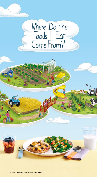# Where Do the Foods | Eat<br>Come From?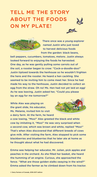## **TELL ME THE STORY ABOUT THE FOODS ON MY PLATE!**





There once was a young explorer named Justin who just loved to harvest delicious foods from the garden: black beans,

bell peppers, cucumbers, tomatoes, melons. Justin always looked forward to enjoying the foods he harvested. One day, as he was gently pulling some carrots out of the soil, a rooster began to crow: "Cock-a-doodle-doo!" Justin tiptoed towards the henhouse so he wouldn't frighten the hens and the rooster. He heard a hen cackling. She seemed to be inviting him to come meet her. Since he had made his way to the henhouse, Justin decided to collect an egg from the straw. Oh no! Ms. Hen had not yet laid an egg! As he was leaving, Justin asked her, "Could you please lay an egg for me tomorrow?"

While Alex was playing on the giant slide, his educator, Ms. Melanie, invited him to visit a dairy farm. At the farm, he heard



a cow lowing, "Moo!" Alex greeted the black and white cow by imitating it, "Moo!" He was very surprised when a second cow, which was brown and white, replied "Moo!" That's when Alex discovered that different breeds of cows give milk. After visiting the farm, Alex stopped to pick some blackberries and blueberries that he later ate at home as he thought about what he had discovered.

Emma was helping her educator, Mr. Julian, pick apples and peaches in the orchard. As she filled her basket, she heard the humming of an engine. Curious, she approached the fence. "What are those golden stalks swaying in the wind?" Emma asked the farmer as he climbed down from his tractor.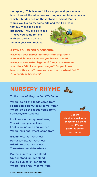He replied, "This is wheat! I'll show you and your educator how I harvest the wheat grains using my combine harvester, which is hidden behind those stalks of wheat. But first, would you like to try some pita and tortilla breads

that my friend the baker prepared? They are delicious! I'll give you some to take with you and you can use them in your own recipes."



#### **A FEW POINTS FOR DISCUSSION:**

**Have you ever harvested foods from a garden? If so, which ones? How did you harvest them? Have you ever eaten legumes? Can you remember what they felt like on your tongue? Do you know how to milk a cow? Have you ever seen a wheat field? Or a combine harvester?**

## **NURSERY RHYME**

To the tune of *Mary Had a Little Lamb*

Where-do-all-the-foods-come-from Foods-come-from, foods-come-from? Where-do-all-the-foods-come-from? I'd-real-ly-like-to-know

Look-a-round-and-you-will-see, You-will-see, you-will-see Look-a-round-and-you-will-see Where-milk-and-wheat-come-from

It-is-time-to-har-vest-now Har-vest-now, har-vest-now It-is-time-to-har-vest-now To-ma-toes-and-black-beans

I've-be-gun-to-un-der-stand Un-der-stand, un-der-stand I've-be-gun-to-un-der-stand Where-foods-real-ly-come-from



Get the children moving by encouraging them to do different gestures during each verse.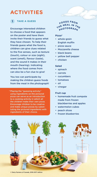## **ACTIVITIES**

## **1 TAKE A GUESS**

Encourage interested children to choose a food that appears on the poster and have them invite their friends to guess what they have chosen. To help their friends guess what the food is, children can give clues related to the five senses, such as texture (touch), colour or size (sight), scent (smell), flavour (taste), and the sound it makes in their mouth (hearing). Indicating where the food comes from can also be a fun clue to give!

You too can participate by making the children guess foods from the meal in the photograph!

\* Playing the "guessing activity" using ingredients on the pictured pizza can serve as an introduction to a cooking activity in which all the children make their own pizza. Encourage children to be creative and make unique pizzas by substituting the pictured ingredients with ingredients of their choice.

## $F$ **C**O<sup>DS</sup> **FRO**  $x + F$  **MEA <sup>P</sup>HOTOGRAP<sup>H</sup>**

#### **Pizza\***

- whole-grain English muffin
- pizza sauce
- Mozzarella cheese
- black beans
- yellow bell pepper
- chicken

#### **Salad**

- spinach
- carrots
- cucumbers
- tomatoes
- oil
- vinegar

#### **Fruit cup**

- homemade fruit compote made from frozen blackberries and apples
- watermelon cubes
- peach slices
- frozen blueberries



© Dairy Farmers of Canada, 2016-2017 edition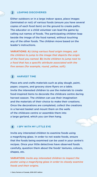#### **2 LEAPING DISCOVERIES**

Either outdoors or in a large indoor space, place images (laminated or not) of various foods (ensure you have several copies of each food item) on the ground to create paths. The educator or a child volunteer can lead the game by calling out names of foods. The participating children leap beside the image of the food named, without touching any of the other foods. The children move based on the leader's instructions.

**VARIATIONS: A)** *Using various food origin images, ask the children to jump to the image that depicts the origin of the food you named.* **B)** *Invite children to jump next to a food that has a specific attribute associated with the five senses (for example, round, yellow, soft).*

#### **3 HARVEST TIME**

Place arts and crafts materials such as play dough, paint, paper, crayons, and grocery store flyers on a table. Invite the interested children to use the materials to create food-inspired items to decorate the childcare centre during harvest season. The children can use their imagination and the materials of their choice to make their creations. Once the decorations are completed, collect the creations in a harvest basket and mount them on the walls of the childcare centre or assemble them into a large garland, which you can then hang.

#### **4 I SPY WITH MY LITTLE EYE**

Invite any interested children to examine foods using a magnifying glass. In order to not waste foods, ensure that the foods being examined can be used in your centre's recipes. Once your little detectives have observed foods carefully, question them about the foods' textures, colours, shapes, etc.

**VARIATION:** *Invite any interested children to inspect the poster using a magnifying glass in order to closely examine foods and their origins.*